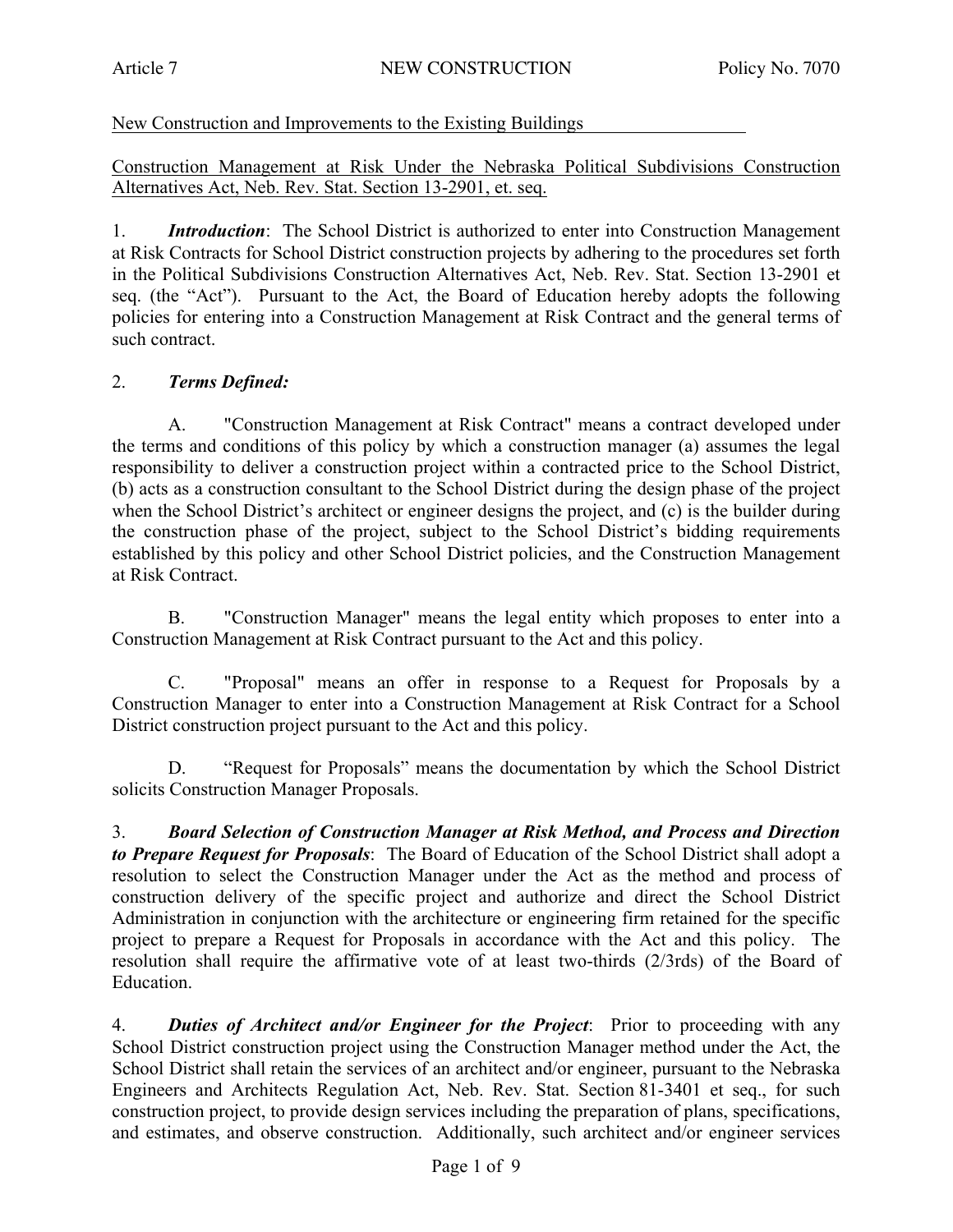New Construction and Improvements to the Existing Buildings

Construction Management at Risk Under the Nebraska Political Subdivisions Construction Alternatives Act, Neb. Rev. Stat. Section 13-2901, et. seq.

1. *Introduction*: The School District is authorized to enter into Construction Management at Risk Contracts for School District construction projects by adhering to the procedures set forth in the Political Subdivisions Construction Alternatives Act, Neb. Rev. Stat. Section 13-2901 et seq. (the "Act"). Pursuant to the Act, the Board of Education hereby adopts the following policies for entering into a Construction Management at Risk Contract and the general terms of such contract.

## 2. *Terms Defined:*

A. "Construction Management at Risk Contract" means a contract developed under the terms and conditions of this policy by which a construction manager (a) assumes the legal responsibility to deliver a construction project within a contracted price to the School District, (b) acts as a construction consultant to the School District during the design phase of the project when the School District's architect or engineer designs the project, and (c) is the builder during the construction phase of the project, subject to the School District's bidding requirements established by this policy and other School District policies, and the Construction Management at Risk Contract.

B. "Construction Manager" means the legal entity which proposes to enter into a Construction Management at Risk Contract pursuant to the Act and this policy.

C. "Proposal" means an offer in response to a Request for Proposals by a Construction Manager to enter into a Construction Management at Risk Contract for a School District construction project pursuant to the Act and this policy.

D. "Request for Proposals" means the documentation by which the School District solicits Construction Manager Proposals.

3. *Board Selection of Construction Manager at Risk Method, and Process and Direction to Prepare Request for Proposals*: The Board of Education of the School District shall adopt a resolution to select the Construction Manager under the Act as the method and process of construction delivery of the specific project and authorize and direct the School District Administration in conjunction with the architecture or engineering firm retained for the specific project to prepare a Request for Proposals in accordance with the Act and this policy. The resolution shall require the affirmative vote of at least two-thirds (2/3rds) of the Board of Education.

4. *Duties of Architect and/or Engineer for the Project*: Prior to proceeding with any School District construction project using the Construction Manager method under the Act, the School District shall retain the services of an architect and/or engineer, pursuant to the Nebraska Engineers and Architects Regulation Act, Neb. Rev. Stat. Section 81-3401 et seq., for such construction project, to provide design services including the preparation of plans, specifications, and estimates, and observe construction. Additionally, such architect and/or engineer services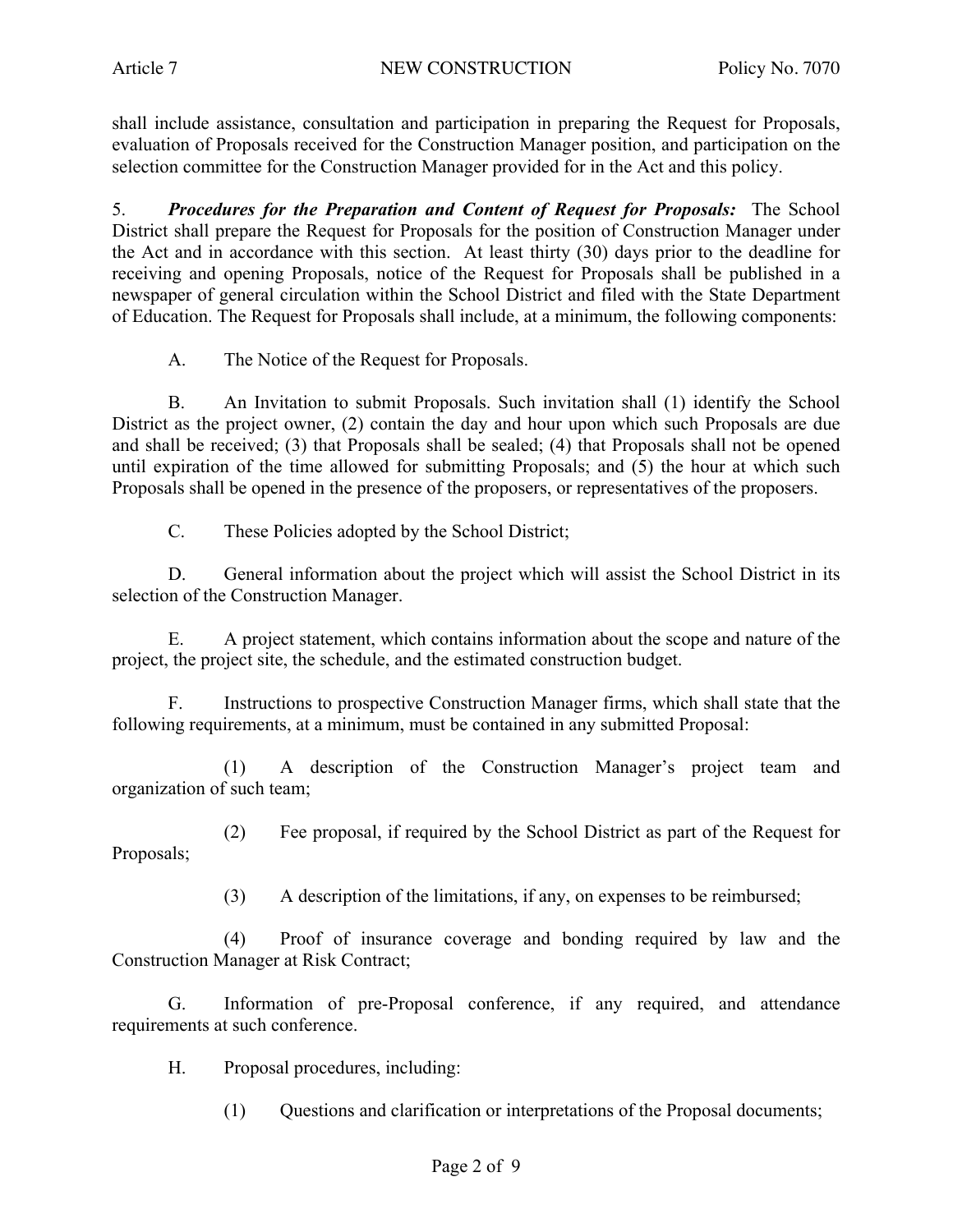shall include assistance, consultation and participation in preparing the Request for Proposals, evaluation of Proposals received for the Construction Manager position, and participation on the selection committee for the Construction Manager provided for in the Act and this policy.

5. *Procedures for the Preparation and Content of Request for Proposals:* The School District shall prepare the Request for Proposals for the position of Construction Manager under the Act and in accordance with this section. At least thirty (30) days prior to the deadline for receiving and opening Proposals, notice of the Request for Proposals shall be published in a newspaper of general circulation within the School District and filed with the State Department of Education. The Request for Proposals shall include, at a minimum, the following components:

A. The Notice of the Request for Proposals.

B. An Invitation to submit Proposals. Such invitation shall (1) identify the School District as the project owner, (2) contain the day and hour upon which such Proposals are due and shall be received; (3) that Proposals shall be sealed; (4) that Proposals shall not be opened until expiration of the time allowed for submitting Proposals; and (5) the hour at which such Proposals shall be opened in the presence of the proposers, or representatives of the proposers.

C. These Policies adopted by the School District;

D. General information about the project which will assist the School District in its selection of the Construction Manager.

E. A project statement, which contains information about the scope and nature of the project, the project site, the schedule, and the estimated construction budget.

F. Instructions to prospective Construction Manager firms, which shall state that the following requirements, at a minimum, must be contained in any submitted Proposal:

(1) A description of the Construction Manager's project team and organization of such team;

(2) Fee proposal, if required by the School District as part of the Request for Proposals;

(3) A description of the limitations, if any, on expenses to be reimbursed;

(4) Proof of insurance coverage and bonding required by law and the Construction Manager at Risk Contract;

G. Information of pre-Proposal conference, if any required, and attendance requirements at such conference.

H. Proposal procedures, including:

(1) Questions and clarification or interpretations of the Proposal documents;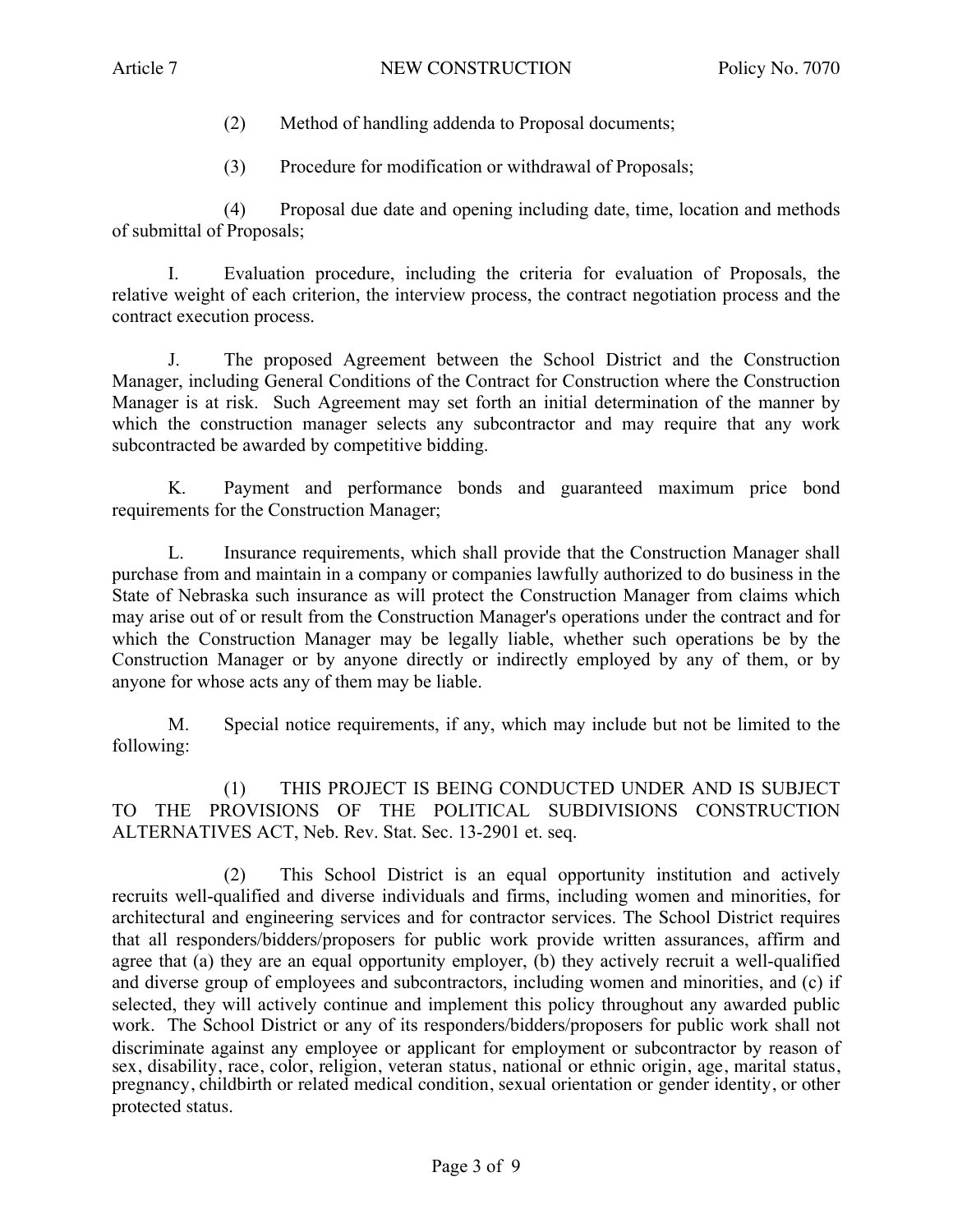- (2) Method of handling addenda to Proposal documents;
- (3) Procedure for modification or withdrawal of Proposals;

(4) Proposal due date and opening including date, time, location and methods of submittal of Proposals;

I. Evaluation procedure, including the criteria for evaluation of Proposals, the relative weight of each criterion, the interview process, the contract negotiation process and the contract execution process.

J. The proposed Agreement between the School District and the Construction Manager, including General Conditions of the Contract for Construction where the Construction Manager is at risk. Such Agreement may set forth an initial determination of the manner by which the construction manager selects any subcontractor and may require that any work subcontracted be awarded by competitive bidding.

K. Payment and performance bonds and guaranteed maximum price bond requirements for the Construction Manager;

L. Insurance requirements, which shall provide that the Construction Manager shall purchase from and maintain in a company or companies lawfully authorized to do business in the State of Nebraska such insurance as will protect the Construction Manager from claims which may arise out of or result from the Construction Manager's operations under the contract and for which the Construction Manager may be legally liable, whether such operations be by the Construction Manager or by anyone directly or indirectly employed by any of them, or by anyone for whose acts any of them may be liable.

M. Special notice requirements, if any, which may include but not be limited to the following:

(1) THIS PROJECT IS BEING CONDUCTED UNDER AND IS SUBJECT TO THE PROVISIONS OF THE POLITICAL SUBDIVISIONS CONSTRUCTION ALTERNATIVES ACT, Neb. Rev. Stat. Sec. 13-2901 et. seq.

(2) This School District is an equal opportunity institution and actively recruits well-qualified and diverse individuals and firms, including women and minorities, for architectural and engineering services and for contractor services. The School District requires that all responders/bidders/proposers for public work provide written assurances, affirm and agree that (a) they are an equal opportunity employer, (b) they actively recruit a well-qualified and diverse group of employees and subcontractors, including women and minorities, and (c) if selected, they will actively continue and implement this policy throughout any awarded public work. The School District or any of its responders/bidders/proposers for public work shall not discriminate against any employee or applicant for employment or subcontractor by reason of sex, disability, race, color, religion, veteran status, national or ethnic origin, age, marital status, pregnancy, childbirth or related medical condition, sexual orientation or gender identity, or other protected status.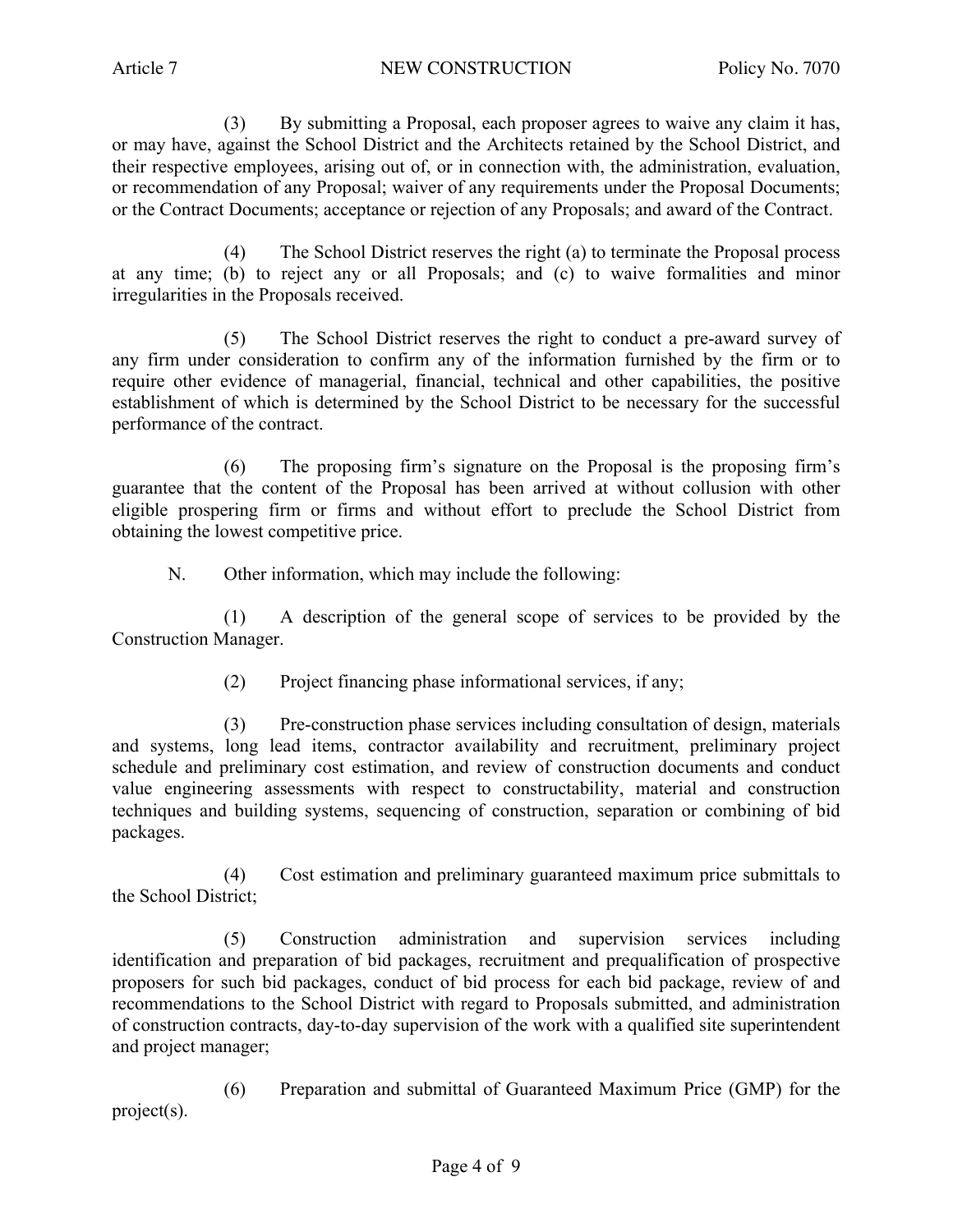(3) By submitting a Proposal, each proposer agrees to waive any claim it has, or may have, against the School District and the Architects retained by the School District, and their respective employees, arising out of, or in connection with, the administration, evaluation, or recommendation of any Proposal; waiver of any requirements under the Proposal Documents; or the Contract Documents; acceptance or rejection of any Proposals; and award of the Contract.

(4) The School District reserves the right (a) to terminate the Proposal process at any time; (b) to reject any or all Proposals; and (c) to waive formalities and minor irregularities in the Proposals received.

(5) The School District reserves the right to conduct a pre-award survey of any firm under consideration to confirm any of the information furnished by the firm or to require other evidence of managerial, financial, technical and other capabilities, the positive establishment of which is determined by the School District to be necessary for the successful performance of the contract.

(6) The proposing firm's signature on the Proposal is the proposing firm's guarantee that the content of the Proposal has been arrived at without collusion with other eligible prospering firm or firms and without effort to preclude the School District from obtaining the lowest competitive price.

N. Other information, which may include the following:

(1) A description of the general scope of services to be provided by the Construction Manager.

(2) Project financing phase informational services, if any;

(3) Pre-construction phase services including consultation of design, materials and systems, long lead items, contractor availability and recruitment, preliminary project schedule and preliminary cost estimation, and review of construction documents and conduct value engineering assessments with respect to constructability, material and construction techniques and building systems, sequencing of construction, separation or combining of bid packages.

(4) Cost estimation and preliminary guaranteed maximum price submittals to the School District;

(5) Construction administration and supervision services including identification and preparation of bid packages, recruitment and prequalification of prospective proposers for such bid packages, conduct of bid process for each bid package, review of and recommendations to the School District with regard to Proposals submitted, and administration of construction contracts, day-to-day supervision of the work with a qualified site superintendent and project manager;

(6) Preparation and submittal of Guaranteed Maximum Price (GMP) for the project(s).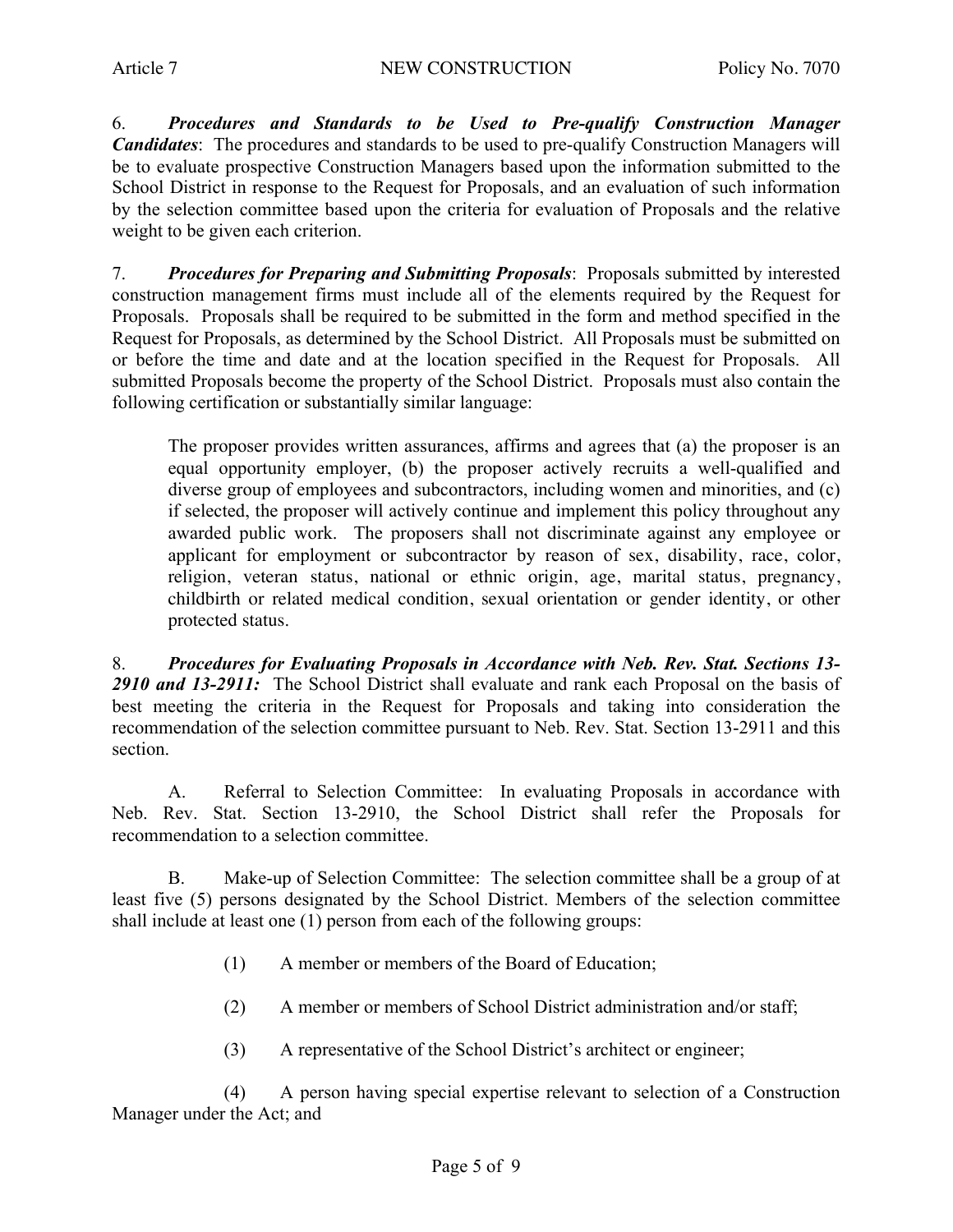6. *Procedures and Standards to be Used to Pre-qualify Construction Manager Candidates*: The procedures and standards to be used to pre-qualify Construction Managers will be to evaluate prospective Construction Managers based upon the information submitted to the School District in response to the Request for Proposals, and an evaluation of such information by the selection committee based upon the criteria for evaluation of Proposals and the relative weight to be given each criterion.

7. *Procedures for Preparing and Submitting Proposals*: Proposals submitted by interested construction management firms must include all of the elements required by the Request for Proposals. Proposals shall be required to be submitted in the form and method specified in the Request for Proposals, as determined by the School District. All Proposals must be submitted on or before the time and date and at the location specified in the Request for Proposals. All submitted Proposals become the property of the School District. Proposals must also contain the following certification or substantially similar language:

The proposer provides written assurances, affirms and agrees that (a) the proposer is an equal opportunity employer, (b) the proposer actively recruits a well-qualified and diverse group of employees and subcontractors, including women and minorities, and (c) if selected, the proposer will actively continue and implement this policy throughout any awarded public work. The proposers shall not discriminate against any employee or applicant for employment or subcontractor by reason of sex, disability, race, color, religion, veteran status, national or ethnic origin, age, marital status, pregnancy, childbirth or related medical condition, sexual orientation or gender identity, or other protected status.

8. *Procedures for Evaluating Proposals in Accordance with Neb. Rev. Stat. Sections 13- 2910 and 13-2911:* The School District shall evaluate and rank each Proposal on the basis of best meeting the criteria in the Request for Proposals and taking into consideration the recommendation of the selection committee pursuant to Neb. Rev. Stat. Section 13-2911 and this section.

A. Referral to Selection Committee: In evaluating Proposals in accordance with Neb. Rev. Stat. Section 13-2910, the School District shall refer the Proposals for recommendation to a selection committee.

B. Make-up of Selection Committee: The selection committee shall be a group of at least five (5) persons designated by the School District. Members of the selection committee shall include at least one (1) person from each of the following groups:

- (1) A member or members of the Board of Education;
- (2) A member or members of School District administration and/or staff;
- (3) A representative of the School District's architect or engineer;

(4) A person having special expertise relevant to selection of a Construction Manager under the Act; and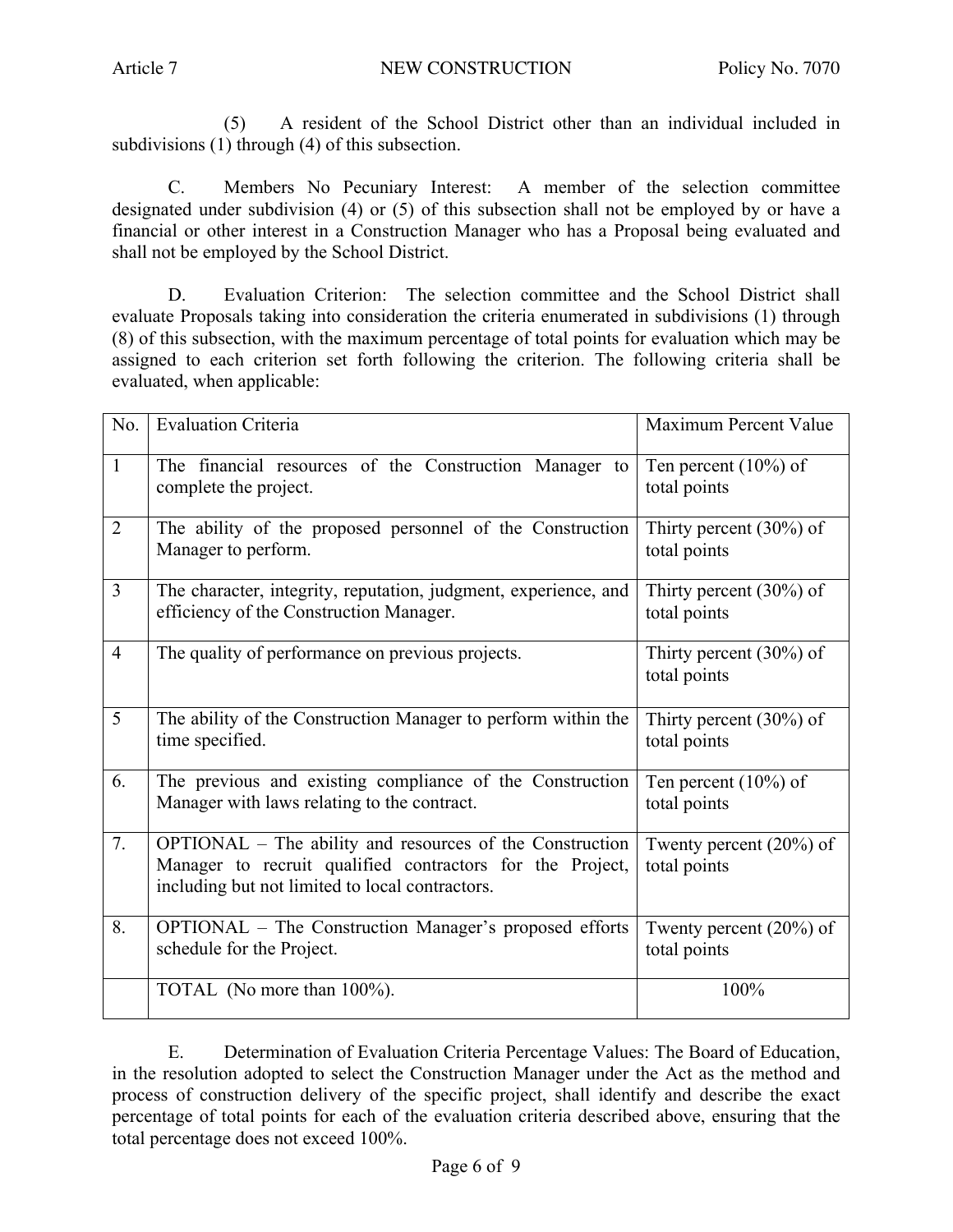(5) A resident of the School District other than an individual included in subdivisions (1) through (4) of this subsection.

C. Members No Pecuniary Interest: A member of the selection committee designated under subdivision (4) or (5) of this subsection shall not be employed by or have a financial or other interest in a Construction Manager who has a Proposal being evaluated and shall not be employed by the School District.

D. Evaluation Criterion: The selection committee and the School District shall evaluate Proposals taking into consideration the criteria enumerated in subdivisions (1) through (8) of this subsection, with the maximum percentage of total points for evaluation which may be assigned to each criterion set forth following the criterion. The following criteria shall be evaluated, when applicable:

| No.            | <b>Evaluation Criteria</b>                                                                                                                                               | Maximum Percent Value                      |
|----------------|--------------------------------------------------------------------------------------------------------------------------------------------------------------------------|--------------------------------------------|
| $\mathbf{1}$   | The financial resources of the Construction Manager to<br>complete the project.                                                                                          | Ten percent $(10\%)$ of<br>total points    |
| $\overline{2}$ | The ability of the proposed personnel of the Construction<br>Manager to perform.                                                                                         | Thirty percent $(30\%)$ of<br>total points |
| $\overline{3}$ | The character, integrity, reputation, judgment, experience, and<br>efficiency of the Construction Manager.                                                               | Thirty percent $(30\%)$ of<br>total points |
| $\overline{4}$ | The quality of performance on previous projects.                                                                                                                         | Thirty percent $(30\%)$ of<br>total points |
| 5              | The ability of the Construction Manager to perform within the<br>time specified.                                                                                         | Thirty percent $(30\%)$ of<br>total points |
| 6.             | The previous and existing compliance of the Construction<br>Manager with laws relating to the contract.                                                                  | Ten percent $(10\%)$ of<br>total points    |
| 7.             | OPTIONAL – The ability and resources of the Construction<br>Manager to recruit qualified contractors for the Project,<br>including but not limited to local contractors. | Twenty percent $(20\%)$ of<br>total points |
| 8.             | <b>OPTIONAL</b> – The Construction Manager's proposed efforts<br>schedule for the Project.                                                                               | Twenty percent $(20\%)$ of<br>total points |
|                | TOTAL (No more than 100%).                                                                                                                                               | 100%                                       |

E. Determination of Evaluation Criteria Percentage Values: The Board of Education, in the resolution adopted to select the Construction Manager under the Act as the method and process of construction delivery of the specific project, shall identify and describe the exact percentage of total points for each of the evaluation criteria described above, ensuring that the total percentage does not exceed 100%.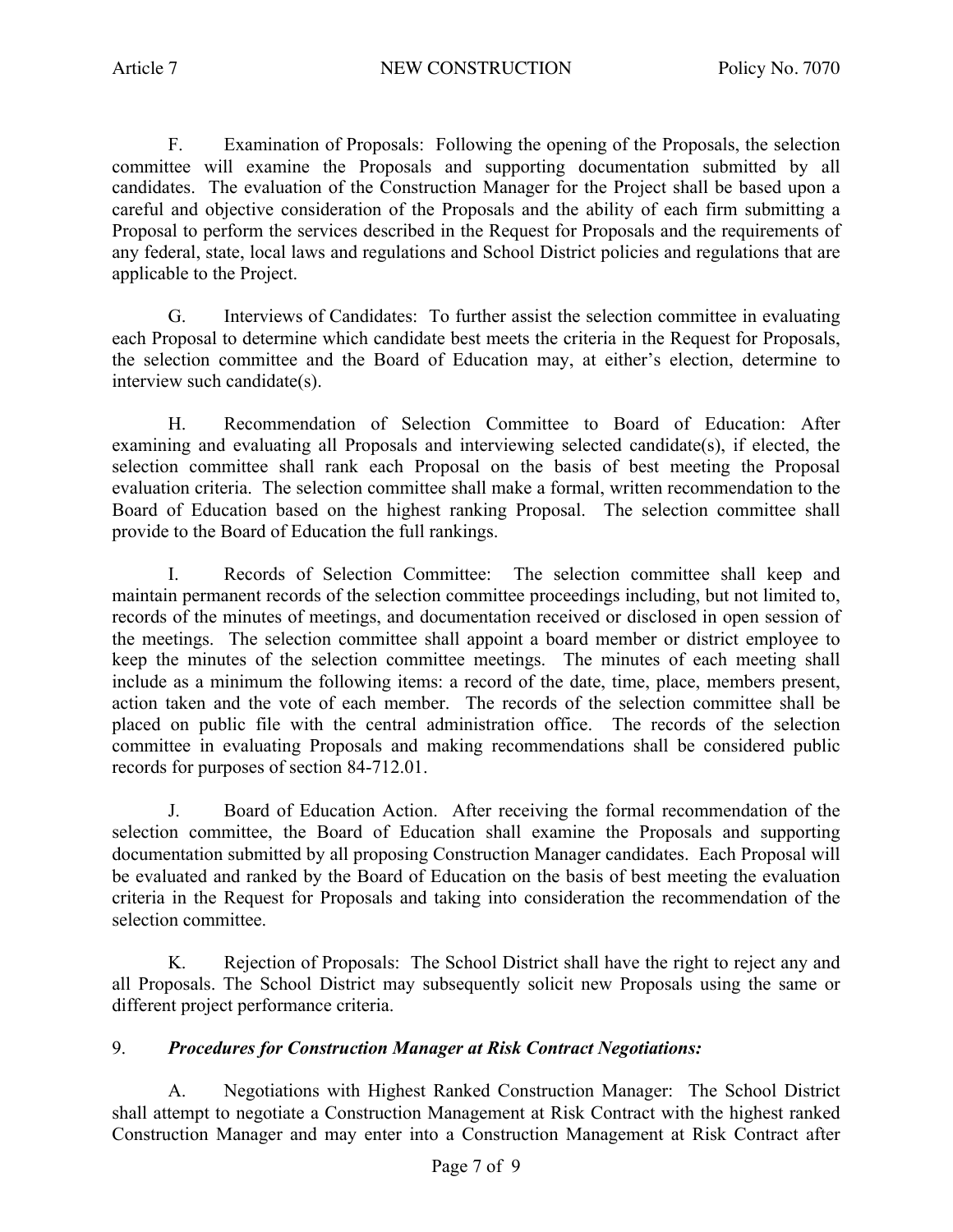F. Examination of Proposals: Following the opening of the Proposals, the selection committee will examine the Proposals and supporting documentation submitted by all candidates. The evaluation of the Construction Manager for the Project shall be based upon a careful and objective consideration of the Proposals and the ability of each firm submitting a Proposal to perform the services described in the Request for Proposals and the requirements of any federal, state, local laws and regulations and School District policies and regulations that are applicable to the Project.

G. Interviews of Candidates: To further assist the selection committee in evaluating each Proposal to determine which candidate best meets the criteria in the Request for Proposals, the selection committee and the Board of Education may, at either's election, determine to interview such candidate(s).

H. Recommendation of Selection Committee to Board of Education: After examining and evaluating all Proposals and interviewing selected candidate(s), if elected, the selection committee shall rank each Proposal on the basis of best meeting the Proposal evaluation criteria. The selection committee shall make a formal, written recommendation to the Board of Education based on the highest ranking Proposal. The selection committee shall provide to the Board of Education the full rankings.

I. Records of Selection Committee: The selection committee shall keep and maintain permanent records of the selection committee proceedings including, but not limited to, records of the minutes of meetings, and documentation received or disclosed in open session of the meetings. The selection committee shall appoint a board member or district employee to keep the minutes of the selection committee meetings. The minutes of each meeting shall include as a minimum the following items: a record of the date, time, place, members present, action taken and the vote of each member. The records of the selection committee shall be placed on public file with the central administration office. The records of the selection committee in evaluating Proposals and making recommendations shall be considered public records for purposes of section 84-712.01.

J. Board of Education Action. After receiving the formal recommendation of the selection committee, the Board of Education shall examine the Proposals and supporting documentation submitted by all proposing Construction Manager candidates. Each Proposal will be evaluated and ranked by the Board of Education on the basis of best meeting the evaluation criteria in the Request for Proposals and taking into consideration the recommendation of the selection committee.

K. Rejection of Proposals: The School District shall have the right to reject any and all Proposals. The School District may subsequently solicit new Proposals using the same or different project performance criteria.

## 9. *Procedures for Construction Manager at Risk Contract Negotiations:*

A. Negotiations with Highest Ranked Construction Manager: The School District shall attempt to negotiate a Construction Management at Risk Contract with the highest ranked Construction Manager and may enter into a Construction Management at Risk Contract after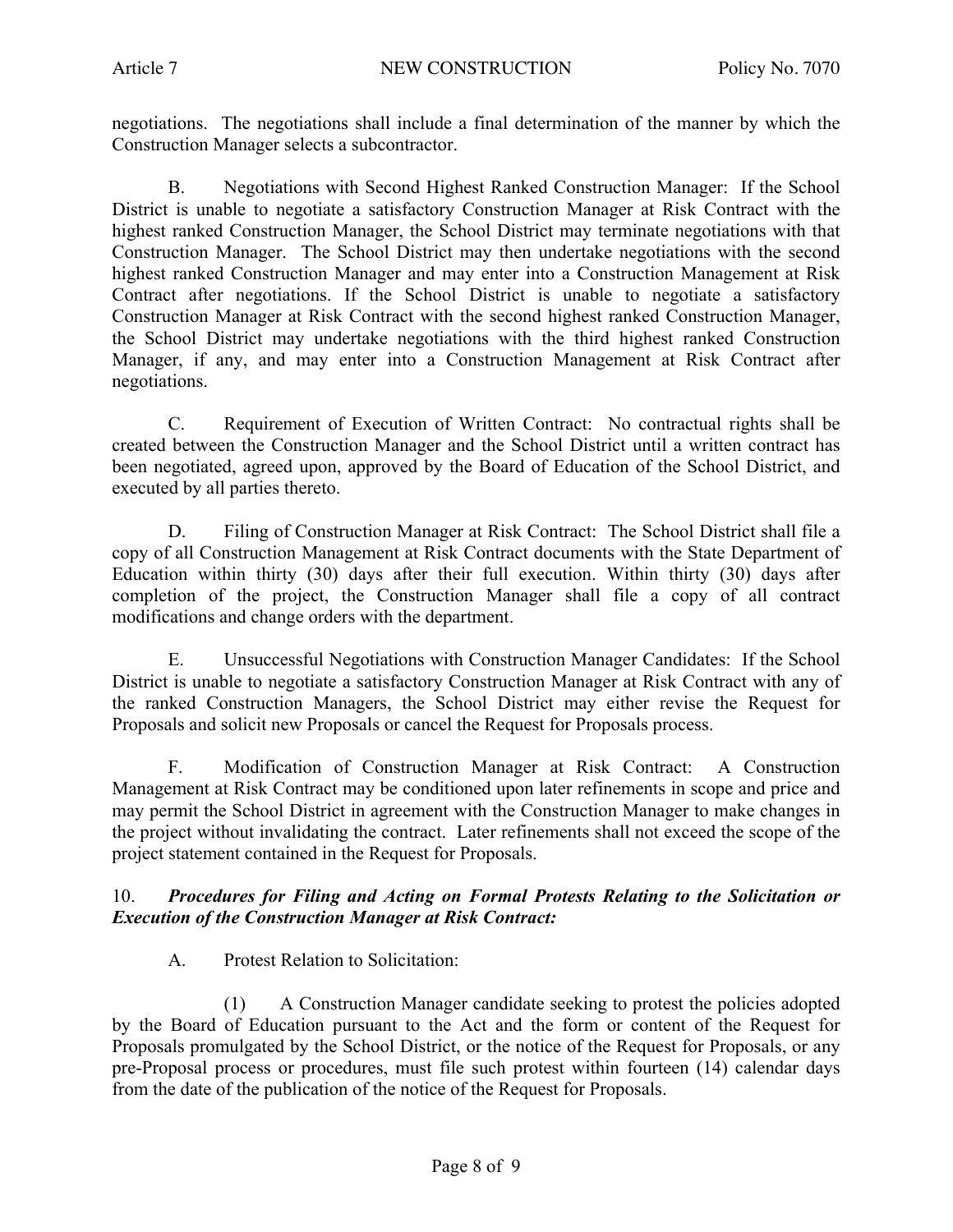negotiations. The negotiations shall include a final determination of the manner by which the Construction Manager selects a subcontractor.

B. Negotiations with Second Highest Ranked Construction Manager: If the School District is unable to negotiate a satisfactory Construction Manager at Risk Contract with the highest ranked Construction Manager, the School District may terminate negotiations with that Construction Manager. The School District may then undertake negotiations with the second highest ranked Construction Manager and may enter into a Construction Management at Risk Contract after negotiations. If the School District is unable to negotiate a satisfactory Construction Manager at Risk Contract with the second highest ranked Construction Manager, the School District may undertake negotiations with the third highest ranked Construction Manager, if any, and may enter into a Construction Management at Risk Contract after negotiations.

C. Requirement of Execution of Written Contract: No contractual rights shall be created between the Construction Manager and the School District until a written contract has been negotiated, agreed upon, approved by the Board of Education of the School District, and executed by all parties thereto.

D. Filing of Construction Manager at Risk Contract: The School District shall file a copy of all Construction Management at Risk Contract documents with the State Department of Education within thirty (30) days after their full execution. Within thirty (30) days after completion of the project, the Construction Manager shall file a copy of all contract modifications and change orders with the department.

E. Unsuccessful Negotiations with Construction Manager Candidates: If the School District is unable to negotiate a satisfactory Construction Manager at Risk Contract with any of the ranked Construction Managers, the School District may either revise the Request for Proposals and solicit new Proposals or cancel the Request for Proposals process.

F. Modification of Construction Manager at Risk Contract: A Construction Management at Risk Contract may be conditioned upon later refinements in scope and price and may permit the School District in agreement with the Construction Manager to make changes in the project without invalidating the contract. Later refinements shall not exceed the scope of the project statement contained in the Request for Proposals.

## 10. *Procedures for Filing and Acting on Formal Protests Relating to the Solicitation or Execution of the Construction Manager at Risk Contract:*

A. Protest Relation to Solicitation:

(1) A Construction Manager candidate seeking to protest the policies adopted by the Board of Education pursuant to the Act and the form or content of the Request for Proposals promulgated by the School District, or the notice of the Request for Proposals, or any pre-Proposal process or procedures, must file such protest within fourteen (14) calendar days from the date of the publication of the notice of the Request for Proposals.